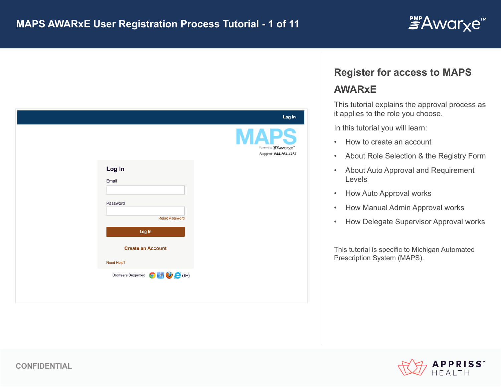

|                                    | Log In                                                     |
|------------------------------------|------------------------------------------------------------|
|                                    | <b>APS</b><br>Powered by FAwarxe"<br>Support: 844-364-4767 |
| Log In                             |                                                            |
| Email                              |                                                            |
| Password                           |                                                            |
| <b>Reset Password</b>              |                                                            |
| Log In                             |                                                            |
| <b>Create an Account</b>           |                                                            |
| Need Help?                         |                                                            |
| Browsers Supported <b>O</b> A (8+) |                                                            |

## **Register for access to MAPS**

# **AWARxE**

This tutorial explains the approval process as it applies to the role you choose.

In this tutorial you will learn:

- How to create an account
- About Role Selection & the Registry Form
- About Auto Approval and Requirement Levels
- How Auto Approval works
- How Manual Admin Approval works
- How Delegate Supervisor Approval works

This tutorial is specific to Michigan Automated Prescription System (MAPS).

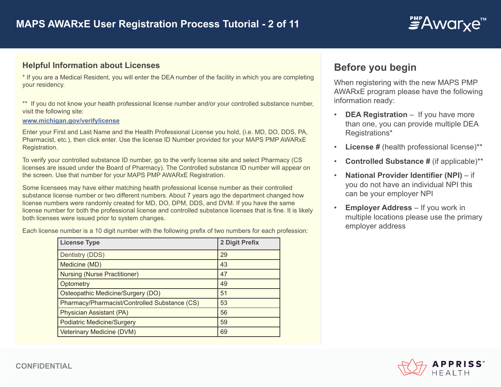

### **Helpful Information about Licenses**

\* If you are a Medical Resident, you will enter the DEA number of the facility in which you are completing your residency.

\*\* If you do not know your health professional license number and/or your controlled substance number, visit the following site:

#### **www.michigan.gov/verifylicense**

Enter your First and Last Name and the Health Professional License you hold, (i.e. MD, DO, DDS, PA, Pharmacist, etc.), then click enter. Use the license ID Number provided for your MAPS PMP AWARxE Registration.

To verify your controlled substance ID number, go to the verify license site and select Pharmacy (CS licenses are issued under the Board of Pharmacy). The Controlled substance ID number will appear on the screen. Use that number for your MAPS PMP AWARxE Registration.

Some licensees may have either matching health professional license number as their controlled substance license number or two different numbers. About 7 years ago the department changed how license numbers were randomly created for MD, DO, DPM, DDS, and DVM. If you have the same license number for both the professional license and controlled substance licenses that is fine. It is likely both licenses were issued prior to system changes.

Each license number is a 10 digit number with the following prefix of two numbers for each profession:

| <b>License Type</b>                           | 2 Digit Prefix |
|-----------------------------------------------|----------------|
| Dentistry (DDS)                               | 29             |
| Medicine (MD)                                 | 43             |
| <b>Nursing (Nurse Practitioner)</b>           | 47             |
| Optometry                                     | 49             |
| Osteopathic Medicine/Surgery (DO)             | 51             |
| Pharmacy/Pharmacist/Controlled Substance (CS) | 53             |
| Physician Assistant (PA)                      | 56             |
| <b>Podiatric Medicine/Surgery</b>             | 59             |
| <b>Veterinary Medicine (DVM)</b>              | 69             |

## **Before you begin**

When registering with the new MAPS PMP AWARxE program please have the following information ready:

- **DEA Registration –** If you have more than one, you can provide multiple DEA Registrations\*
- **License #** (health professional license)\*\*
- **Controlled Substance #** (if applicable)\*\*
- **National Provider Identifier (NPI)**  if you do not have an individual NPI this can be your employer NPI
- **Employer Address** If you work in multiple locations please use the primary employer address

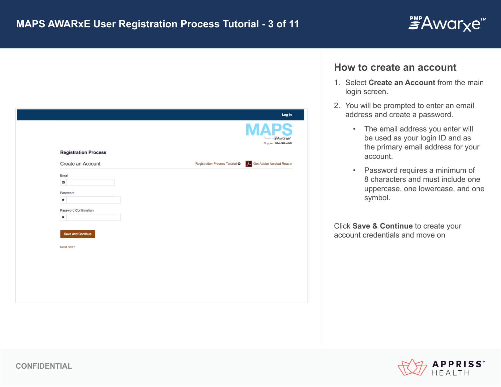

|                             | Log In                                                                |
|-----------------------------|-----------------------------------------------------------------------|
|                             | Powered by "Awarxe"<br>Support: 844-364-4767                          |
| <b>Registration Process</b> |                                                                       |
| Create an Account           | <b>A.</b> Get Adobe Acrobat Reader<br>Registration Process Tutorial O |
| Email                       |                                                                       |
| χ                           |                                                                       |
| Password                    |                                                                       |
| ₩                           |                                                                       |
| Password Confirmation       |                                                                       |
| ₩                           |                                                                       |
|                             |                                                                       |
| Save and Continue           |                                                                       |
| Need Help?                  |                                                                       |
|                             |                                                                       |
|                             |                                                                       |
|                             |                                                                       |
|                             |                                                                       |
|                             |                                                                       |
|                             |                                                                       |

## **How to create an account**

- 1. Select **Create an Account** from the main login screen.
- 2. You will be prompted to enter an email address and create a password.
	- The email address you enter will be used as your login ID and as the primary email address for your account.
	- Password requires a minimum of 8 characters and must include one uppercase, one lowercase, and one symbol.

Click **Save & Continue** to create your account credentials and move on

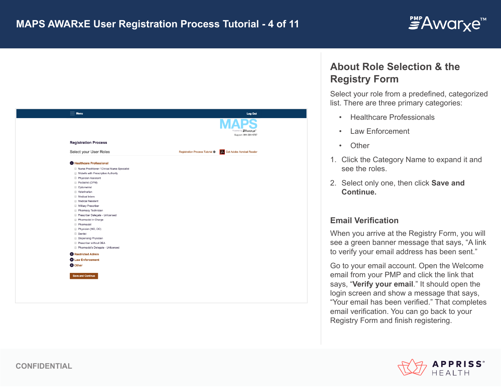



## **About Role Selection & the Registry Form**

Select your role from a predefined, categorized list. There are three primary categories:

- Healthcare Professionals
- Law Enforcement
- Other
- 1. Click the Category Name to expand it and see the roles.
- 2. Select only one, then click **Save and Continue.**

## **Email Verification**

When you arrive at the Registry Form, you will see a green banner message that says, "A link to verify your email address has been sent."

Go to your email account. Open the Welcome email from your PMP and click the link that says, "**Verify your email**." It should open the login screen and show a message that says, "Your email has been verified." That completes email verification. You can go back to your Registry Form and finish registering.

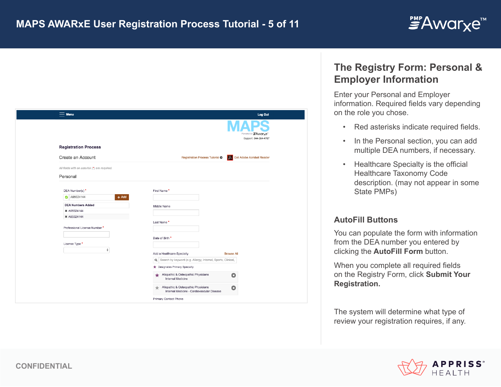

| $\equiv$ Menu                                                                                                                                       | Log Out                                                                                                             |
|-----------------------------------------------------------------------------------------------------------------------------------------------------|---------------------------------------------------------------------------------------------------------------------|
|                                                                                                                                                     | Powered by FAwarye"<br>Support: 844-364-4767                                                                        |
| <b>Registration Process</b>                                                                                                                         |                                                                                                                     |
| Create an Account                                                                                                                                   | Registration Process Tutorial O<br>レー<br>Get Adobe Acrobat Reader                                                   |
| All fields with an asterisk (*) are required.                                                                                                       |                                                                                                                     |
| Personal                                                                                                                                            |                                                                                                                     |
| DEA Number(s)*<br>A95024144<br>$+$ Add<br><b>DEA Numbers Added</b><br>× A95024144<br>× A95024144<br>Professional License Number *<br>License Type * | First Name*<br>Middle Name<br>Last Name*<br>Date of Birth *                                                         |
| ÷                                                                                                                                                   | Add a Healthcare Specialty<br><b>Browse All</b>                                                                     |
|                                                                                                                                                     | Q Search by keyword (e.g. Allergy, Internal, Sports, Clinical,                                                      |
|                                                                                                                                                     | Designates Primary Specialty                                                                                        |
|                                                                                                                                                     | Allopathic & Osteopathic Physicians<br>$\bullet$<br>Internal Medicine                                               |
|                                                                                                                                                     | Allopathic & Osteopathic Physicians<br>$\bullet$<br>$\scriptstyle\pm$<br>Internal Medicine - Cardiovascular Disease |
|                                                                                                                                                     | Primary Contact Phone                                                                                               |

# **The Registry Form: Personal & Employer Information**

Enter your Personal and Employer information. Required fields vary depending on the role you chose.

- Red asterisks indicate required fields.
- In the Personal section, you can add multiple DEA numbers, if necessary.
- Healthcare Specialty is the official Healthcare Taxonomy Code description. (may not appear in some State PMPs)

## **AutoFill Buttons**

You can populate the form with information from the DEA number you entered by clicking the **AutoFill Form** button.

When you complete all required fields on the Registry Form, click **Submit Your Registration.** 

The system will determine what type of review your registration requires, if any.

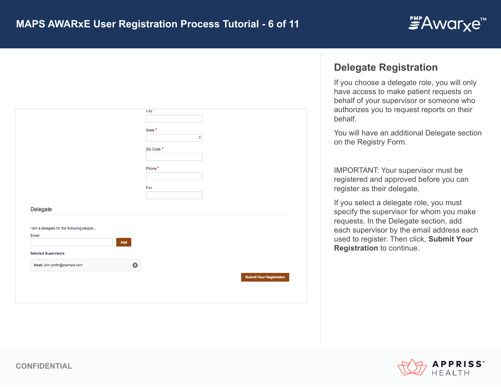

|                                          |           | City "                          |
|------------------------------------------|-----------|---------------------------------|
|                                          |           |                                 |
|                                          |           | State <sup>*</sup>              |
|                                          |           | $\ddot{\phantom{1}}$            |
|                                          |           | Zip Code *                      |
|                                          |           |                                 |
|                                          |           |                                 |
|                                          |           | Phone *                         |
|                                          |           |                                 |
|                                          |           | Fax                             |
|                                          |           |                                 |
|                                          |           |                                 |
| Delegate                                 |           |                                 |
|                                          |           |                                 |
| I am a delegate for the following people |           |                                 |
| Email                                    |           |                                 |
|                                          | Add       |                                 |
|                                          |           |                                 |
| <b>Selected Supervisors</b>              |           |                                 |
| Email: john.smith@example.com            | $\bullet$ |                                 |
|                                          |           |                                 |
|                                          |           | <b>Submit Your Registration</b> |
|                                          |           |                                 |
|                                          |           |                                 |
|                                          |           |                                 |
|                                          |           |                                 |

## **Delegate Registration**

If you choose a delegate role, you will only have access to make patient requests on behalf of your supervisor or someone who authorizes you to request reports on their behalf.

You will have an additional Delegate section on the Registry Form.

IMPORTANT: Your supervisor must be registered and approved before you can register as their delegate.

If you select a delegate role, you must specify the supervisor for whom you make requests. In the Delegate section, add each supervisor by the email address each used to register. Then click, **Submit Your Registration** to continue.

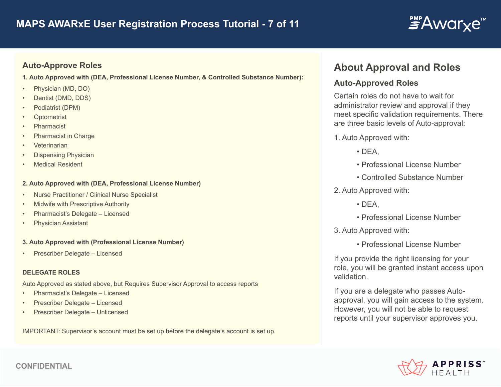

## **Auto-Approve Roles**

**1. Auto Approved with (DEA, Professional License Number, & Controlled Substance Number):** 

- Physician (MD, DO)
- Dentist (DMD, DDS)
- Podiatrist (DPM)
- **Optometrist**
- Pharmacist
- Pharmacist in Charge
- **Veterinarian**
- Dispensing Physician
- **Medical Resident**

#### **2. Auto Approved with (DEA, Professional License Number)**

- Nurse Practitioner / Clinical Nurse Specialist
- Midwife with Prescriptive Authority
- Pharmacist's Delegate Licensed
- Physician Assistant

#### **3. Auto Approved with (Professional License Number)**

• Prescriber Delegate – Licensed

#### **DELEGATE ROLES**

Auto Approved as stated above, but Requires Supervisor Approval to access reports

- Pharmacist's Delegate Licensed
- Prescriber Delegate Licensed
- Prescriber Delegate Unlicensed

IMPORTANT: Supervisor's account must be set up before the delegate's account is set up.

# **About Approval and Roles**

## **Auto-Approved Roles**

Certain roles do not have to wait for administrator review and approval if they meet specific validation requirements. There are three basic levels of Auto-approval:

1. Auto Approved with:

- $\cdot$  DEA.
- Professional License Number
- Controlled Substance Number
- 2. Auto Approved with:
	- $\cdot$  DEA.
	- Professional License Number
- 3. Auto Approved with:
	- Professional License Number

If you provide the right licensing for your role, you will be granted instant access upon validation.

If you are a delegate who passes Autoapproval, you will gain access to the system. However, you will not be able to request reports until your supervisor approves you.

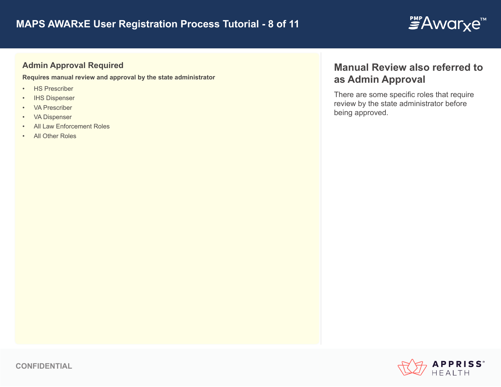# **MAPS AWARxE User Registration Process Tutorial - 8 of 11**

# *≝Awarxe*™

## **Admin Approval Required**

**Requires manual review and approval by the state administrator**

- HS Prescriber
- IHS Dispenser
- VA Prescriber
- VA Dispenser
- All Law Enforcement Roles
- All Other Roles

# **Manual Review also referred to as Admin Approval**

There are some specific roles that require review by the state administrator before being approved.

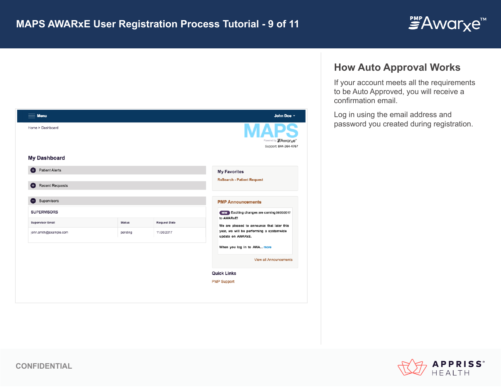

| <b>Menu</b>                 |               |                     | John Doe -                                                    |
|-----------------------------|---------------|---------------------|---------------------------------------------------------------|
| Home > Dashboard            |               |                     | Powered by FAwarxe"<br>Support: 844-364-4767                  |
| <b>My Dashboard</b>         |               |                     |                                                               |
| <b>Patient Alerts</b><br>Ð  |               |                     | <b>My Favorites</b>                                           |
| <b>Recent Requests</b><br>Ð |               |                     | <b>RxSearch - Patient Request</b>                             |
| Supervisors                 |               |                     | <b>PMP Announcements</b>                                      |
| <b>SUPERVISORS</b>          |               |                     | NEW Exciting changes are coming 09/20/2017<br>to AWARxE!      |
| <b>Supervisor Email</b>     | <b>Status</b> | <b>Request Date</b> | We are pleased to announce that later this                    |
| john.smith@example.com      | pending       | 11/30/2017          | year, we will be performing a systemwide<br>update on AWARxE. |
|                             |               |                     | When you log in to AWA more                                   |
|                             |               |                     | <b>View all Announcements</b>                                 |
|                             |               |                     | <b>Quick Links</b>                                            |
|                             |               |                     | <b>PMP Support</b>                                            |

## **How Auto Approval Works**

If your account meets all the requirements to be Auto Approved, you will receive a confirmation email.

Log in using the email address and password you created during registration.

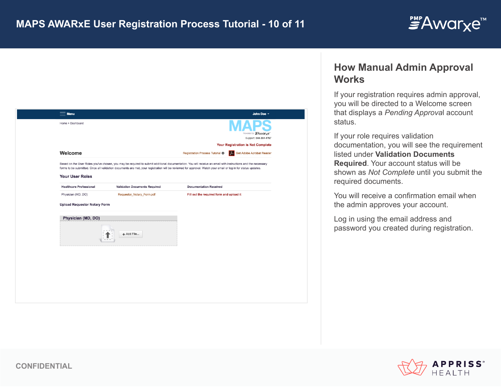

| $=$ Menu                            |                                                                                                                                                                                                                                                                                                                               |                                          | John Doe -                                   |
|-------------------------------------|-------------------------------------------------------------------------------------------------------------------------------------------------------------------------------------------------------------------------------------------------------------------------------------------------------------------------------|------------------------------------------|----------------------------------------------|
| Home > Dashboard                    |                                                                                                                                                                                                                                                                                                                               |                                          | Powered by FAwarxe"<br>Support: 844-364-4767 |
|                                     |                                                                                                                                                                                                                                                                                                                               |                                          | <b>Your Registration is Not Complete</b>     |
| Welcome                             |                                                                                                                                                                                                                                                                                                                               | Registration Process Tutorial O<br>$\mu$ | Get Adobe Acrobat Reader                     |
|                                     | Based on the User Roles you've chosen, you may be required to submit additional documentation. You will receive an email with instructions and the necessary<br>forms to be submitted. Once all validation documents are met, your registration will be reviewed for approval. Watch your email or log in for status updates. |                                          |                                              |
| <b>Your User Roles</b>              |                                                                                                                                                                                                                                                                                                                               |                                          |                                              |
| <b>Healthcare Professional</b>      | <b>Validation Documents Required</b>                                                                                                                                                                                                                                                                                          | <b>Documentation Received</b>            |                                              |
| Physician (MD, DO)                  | Requestor_Notary_Form.pdf                                                                                                                                                                                                                                                                                                     | Fill out the required form and upload it |                                              |
| <b>Upload Requestor Notary Form</b> |                                                                                                                                                                                                                                                                                                                               |                                          |                                              |
| Physician (MD, DO)                  |                                                                                                                                                                                                                                                                                                                               |                                          |                                              |
|                                     | + Add File                                                                                                                                                                                                                                                                                                                    |                                          |                                              |
|                                     |                                                                                                                                                                                                                                                                                                                               |                                          |                                              |
|                                     |                                                                                                                                                                                                                                                                                                                               |                                          |                                              |
|                                     |                                                                                                                                                                                                                                                                                                                               |                                          |                                              |
|                                     |                                                                                                                                                                                                                                                                                                                               |                                          |                                              |
|                                     |                                                                                                                                                                                                                                                                                                                               |                                          |                                              |
|                                     |                                                                                                                                                                                                                                                                                                                               |                                          |                                              |
|                                     |                                                                                                                                                                                                                                                                                                                               |                                          |                                              |

## **How Manual Admin Approval Works**

If your registration requires admin approval, you will be directed to a Welcome screen that displays a *Pending Approva*l account status.

If your role requires validation documentation, you will see the requirement listed under **Validation Documents Required**. Your account status will be shown as *Not Complete* until you submit the required documents.

You will receive a confirmation email when the admin approves your account.

Log in using the email address and password you created during registration.